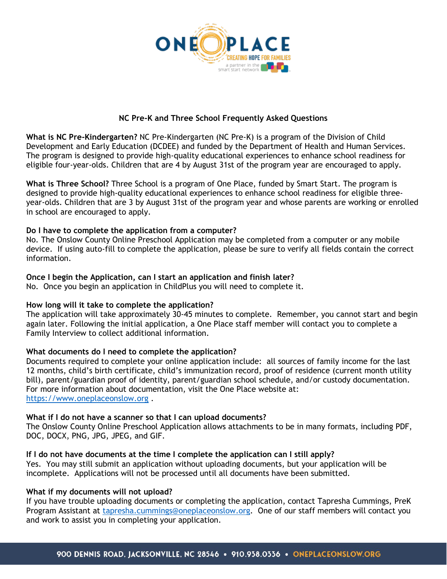

# **NC Pre-K and Three School Frequently Asked Questions**

**What is NC Pre-Kindergarten?** NC Pre-Kindergarten (NC Pre-K) is a program of the Division of Child Development and Early Education (DCDEE) and funded by the Department of Health and Human Services. The program is designed to provide high-quality educational experiences to enhance school readiness for eligible four-year-olds. Children that are 4 by August 31st of the program year are encouraged to apply.

**What is Three School?** Three School is a program of One Place, funded by Smart Start. The program is designed to provide high-quality educational experiences to enhance school readiness for eligible threeyear-olds. Children that are 3 by August 31st of the program year and whose parents are working or enrolled in school are encouraged to apply.

## **Do I have to complete the application from a computer?**

No. The Onslow County Online Preschool Application may be completed from a computer or any mobile device. If using auto-fill to complete the application, please be sure to verify all fields contain the correct information.

## **Once I begin the Application, can I start an application and finish later?**

No. Once you begin an application in ChildPlus you will need to complete it.

## **How long will it take to complete the application?**

The application will take approximately 30-45 minutes to complete. Remember, you cannot start and begin again later. Following the initial application, a One Place staff member will contact you to complete a Family Interview to collect additional information.

## **What documents do I need to complete the application?**

Documents required to complete your online application include: all sources of family income for the last 12 months, child's birth certificate, child's immunization record, proof of residence (current month utility bill), parent/guardian proof of identity, parent/guardian school schedule, and/or custody documentation. For more information about documentation, visit the One Place website at: [https://www.oneplaceonslow.org](https://www.oneplaceonslow.org/) .

## **What if I do not have a scanner so that I can upload documents?**

The Onslow County Online Preschool Application allows attachments to be in many formats, including PDF, DOC, DOCX, PNG, JPG, JPEG, and GIF.

## **If I do not have documents at the time I complete the application can I still apply?**

Yes. You may still submit an application without uploading documents, but your application will be incomplete. Applications will not be processed until all documents have been submitted.

## **What if my documents will not upload?**

If you have trouble uploading documents or completing the application, contact Tapresha Cummings, PreK Program Assistant at [tapresha.cummings@oneplaceonslow.org.](mailto:tapresha.cummings@oneplaceonslow.org) One of our staff members will contact you and work to assist you in completing your application.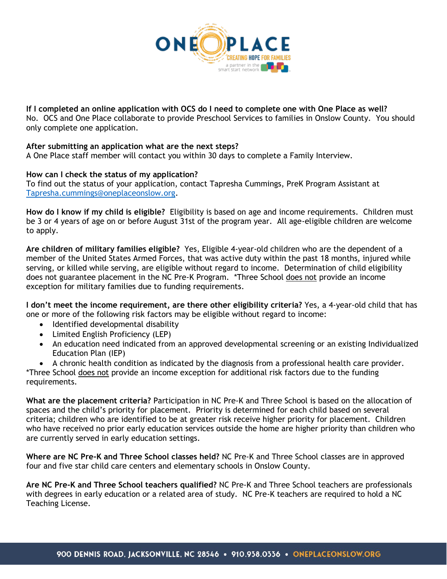

**If I completed an online application with OCS do I need to complete one with One Place as well?**  No. OCS and One Place collaborate to provide Preschool Services to families in Onslow County. You should only complete one application.

## **After submitting an application what are the next steps?**

A One Place staff member will contact you within 30 days to complete a Family Interview.

#### **How can I check the status of my application?**

To find out the status of your application, contact Tapresha Cummings, PreK Program Assistant at [Tapresha.cummings@oneplaceonslow.org.](mailto:Tapresha.cummings@oneplaceonslow.org)

**How do I know if my child is eligible?** Eligibility is based on age and income requirements. Children must be 3 or 4 years of age on or before August 31st of the program year. All age-eligible children are welcome to apply.

**Are children of military families eligible?** Yes, Eligible 4-year-old children who are the dependent of a member of the United States Armed Forces, that was active duty within the past 18 months, injured while serving, or killed while serving, are eligible without regard to income. Determination of child eligibility does not guarantee placement in the NC Pre-K Program. \*Three School does not provide an income exception for military families due to funding requirements.

**I don't meet the income requirement, are there other eligibility criteria?** Yes, a 4-year-old child that has one or more of the following risk factors may be eligible without regard to income:

- Identified developmental disability
- Limited English Proficiency (LEP)
- An education need indicated from an approved developmental screening or an existing Individualized Education Plan (IEP)
- A chronic health condition as indicated by the diagnosis from a professional health care provider.

\*Three School does not provide an income exception for additional risk factors due to the funding requirements.

**What are the placement criteria?** Participation in NC Pre-K and Three School is based on the allocation of spaces and the child's priority for placement. Priority is determined for each child based on several criteria; children who are identified to be at greater risk receive higher priority for placement. Children who have received no prior early education services outside the home are higher priority than children who are currently served in early education settings.

**Where are NC Pre-K and Three School classes held?** NC Pre-K and Three School classes are in approved four and five star child care centers and elementary schools in Onslow County.

**Are NC Pre-K and Three School teachers qualified?** NC Pre-K and Three School teachers are professionals with degrees in early education or a related area of study. NC Pre-K teachers are required to hold a NC Teaching License.